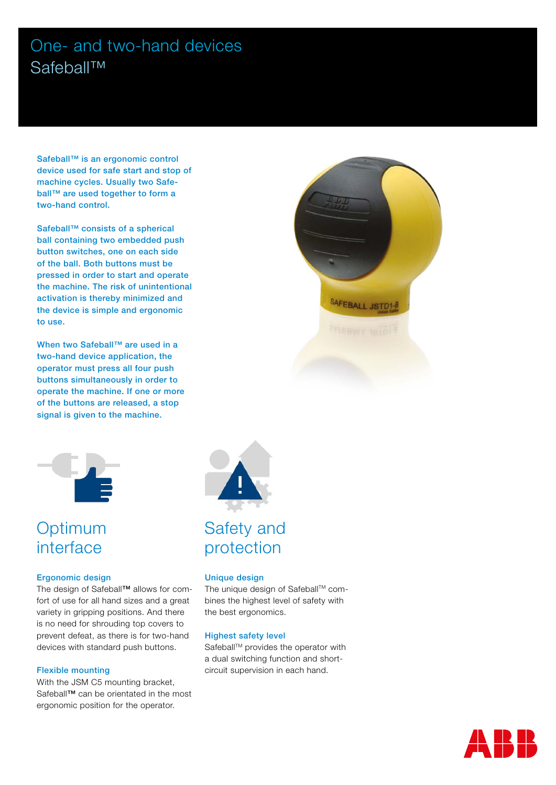# One- and two-hand devices Safeball™

Safeball<sup>™</sup> is an ergonomic control device used for safe start and stop of machine cycles. Usually two Safeball™ are used together to form a two-hand control.

Safeball™ consists of a spherical ball containing two embedded push button switches, one on each side of the ball. Both buttons must be pressed in order to start and operate the machine. The risk of unintentional activation is thereby minimized and the device is simple and ergonomic to use.

When two Safeball™ are used in a two-hand device application, the operator must press all four push buttons simultaneously in order to operate the machine. If one or more of the buttons are released, a stop signal is given to the machine.



# **Optimum** interface

#### Ergonomic design

The design of Safeball™ allows for comfort of use for all hand sizes and a great variety in gripping positions. And there is no need for shrouding top covers to prevent defeat, as there is for two-hand devices with standard push buttons.

#### Flexible mounting

With the JSM C5 mounting bracket, Safeball™ can be orientated in the most ergonomic position for the operator.





### Unique design

The unique design of Safeball™ combines the highest level of safety with the best ergonomics.

#### Highest safety level

Safeball™ provides the operator with a dual switching function and shortcircuit supervision in each hand.

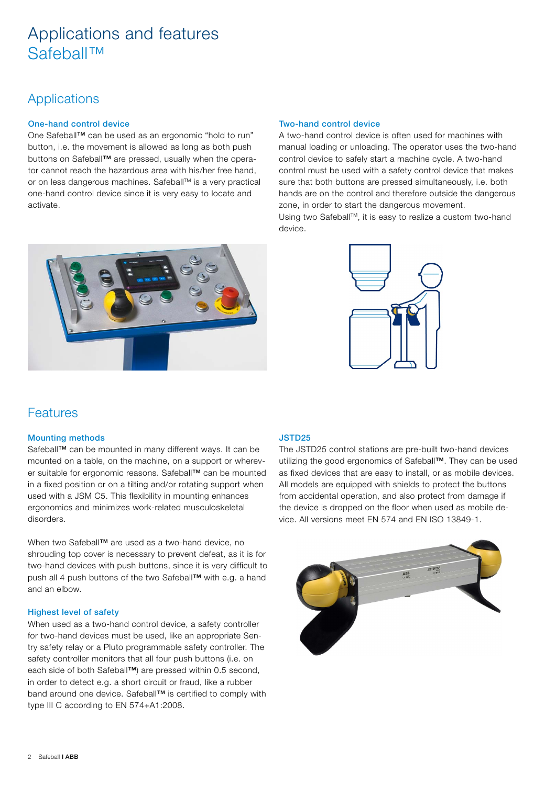# Applications and features Safeball™

### **Applications**

### One-hand control device

One Safeball™ can be used as an ergonomic "hold to run" button, i.e. the movement is allowed as long as both push buttons on Safeball™ are pressed, usually when the operator cannot reach the hazardous area with his/her free hand, or on less dangerous machines. Safeball™ is a very practical one-hand control device since it is very easy to locate and activate.



#### Two-hand control device

A two-hand control device is often used for machines with manual loading or unloading. The operator uses the two-hand control device to safely start a machine cycle. A two-hand control must be used with a safety control device that makes sure that both buttons are pressed simultaneously, i.e. both hands are on the control and therefore outside the dangerous zone, in order to start the dangerous movement.

Using two Safeball™, it is easy to realize a custom two-hand device.



### Features

### Mounting methods

Safeball™ can be mounted in many different ways. It can be mounted on a table, on the machine, on a support or wherever suitable for ergonomic reasons. Safeball™ can be mounted in a fixed position or on a tilting and/or rotating support when used with a JSM C5. This flexibility in mounting enhances ergonomics and minimizes work-related musculoskeletal disorders.

When two Safeball™ are used as a two-hand device, no shrouding top cover is necessary to prevent defeat, as it is for two-hand devices with push buttons, since it is very difficult to push all 4 push buttons of the two Safeball™ with e.g. a hand and an elbow.

### Highest level of safety

When used as a two-hand control device, a safety controller for two-hand devices must be used, like an appropriate Sentry safety relay or a Pluto programmable safety controller. The safety controller monitors that all four push buttons (i.e. on each side of both Safeball™) are pressed within 0.5 second, in order to detect e.g. a short circuit or fraud, like a rubber band around one device. Safeball™ is certified to comply with type III C according to EN 574+A1:2008.

### JSTD25

The JSTD25 control stations are pre-built two-hand devices utilizing the good ergonomics of Safeball™. They can be used as fixed devices that are easy to install, or as mobile devices. All models are equipped with shields to protect the buttons from accidental operation, and also protect from damage if the device is dropped on the floor when used as mobile device. All versions meet EN 574 and EN ISO 13849-1.

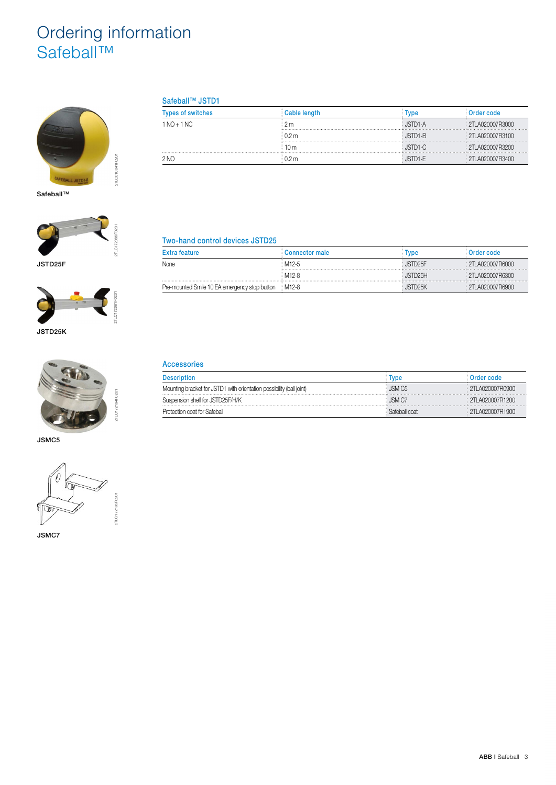# Ordering information Safeball™



Safeball™





JSTD25K



2TLC172194F0201

JSMC5



JSMC7

### Safeball™ JSTD1

| <b>Types of switches</b> | Cable length     | Tvpe    | Order code        |
|--------------------------|------------------|---------|-------------------|
| $1 NQ + 1 NC$            | 2m               | JSTD1-A | 2TLA020007R3000   |
|                          | ፡ በ <i>ን</i> m   | JSTD1-B | 2TLA020007R3100   |
|                          | : 10 m           | JSTD1-C | 2TLA020007R3200   |
| 2 NO                     | 0.2 <sub>m</sub> | JSTD1-E | : 2TLA020007R3400 |

### Two-hand control devices JSTD25

| <b>Extra feature</b>                                  | Connector male | Tvpe                 | Order code      |
|-------------------------------------------------------|----------------|----------------------|-----------------|
| None                                                  | : M12-5        | JSTD <sub>25</sub> F | 2TLA020007R6000 |
|                                                       | : M12-8        | JSTD25H              | 2TLA020007R6300 |
| Pre-mounted Smile 10 EA emergency stop button : M12-8 |                | JSTD25K              | 2TLA020007R6900 |

### Accessories

| <b>Description</b>                                                   | <b>vpe</b>         | Order code             |
|----------------------------------------------------------------------|--------------------|------------------------|
| Mounting bracket for JSTD1 with orientation possibility (ball joint) | JSM C <sub>5</sub> | Ε 2ΤΙ ΑΩ20007R0900     |
| Suspension shelf for JSTD25F/H/K                                     | JSM C7             | $\pm$ 2TI A020007R1200 |
| Protection coat for Safeball                                         | Safeball coat      | $\pm$ 2TI A020007R1900 |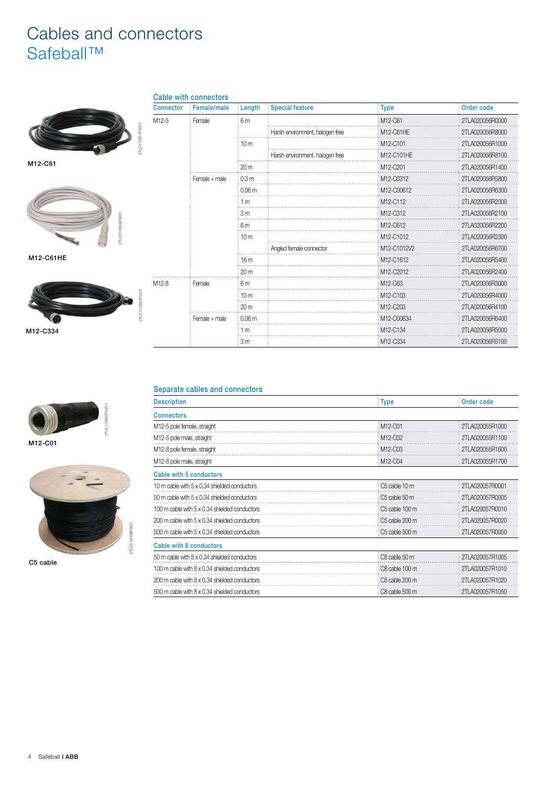# Cables and connectors Safeball™



M12-C61





| 2TLC |                 |       |               |
|------|-----------------|-------|---------------|
| IΕ   |                 |       |               |
|      | 2TLC172931F0201 | M12-8 | Female        |
|      |                 |       | Female + male |

|                   | <b>Cable with connectors</b> |                   |                                 |             |                 |
|-------------------|------------------------------|-------------------|---------------------------------|-------------|-----------------|
| <b>Connector</b>  | Female/male                  | Length            | <b>Special feature</b>          | <b>Type</b> | Order code      |
| M12-5             | Female                       | 6m                |                                 | M12-C61     | 2TLA020056R0000 |
|                   |                              |                   | Harsh environment, halogen free | M12-C61HE   | 2TLA020056R8000 |
|                   |                              | 10 <sub>m</sub>   |                                 | M12-C101    | 2TLA020056R1000 |
|                   |                              |                   | Harsh environment, halogen free | M12-C101HE  | 2TLA020056R8100 |
|                   |                              | 20 <sub>m</sub>   |                                 | M12-C201    | 2TLA020056R1400 |
|                   | Female + male                | 0.3 <sub>m</sub>  |                                 | M12-C0312   | 2TLA020056R5800 |
|                   |                              | 0.06 <sub>m</sub> |                                 | M12-C00612  | 2TLA020056R6300 |
|                   |                              | 1 <sub>m</sub>    |                                 | M12-C112    | 2TLA020056R2000 |
|                   |                              | 3 <sub>m</sub>    |                                 | M12-C312    | 2TLA020056R2100 |
|                   |                              | 6m                |                                 | M12-C612    | 2TLA020056R2200 |
|                   |                              | 10 <sub>m</sub>   |                                 | M12-C1012   | 2TLA020056R2300 |
|                   |                              |                   | Angled female connector         | M12-C1012V2 | 2TLA020056R6700 |
|                   |                              | 16 <sub>m</sub>   |                                 | M12-C1612   | 2TLA020056R5400 |
|                   |                              | 20 <sub>m</sub>   |                                 | M12-C2012   | 2TLA020056R2400 |
| M <sub>12-8</sub> | Female                       | 6m                |                                 | M12-C63     | 2TLA020056R3000 |
|                   |                              | 10 <sub>m</sub>   |                                 | M12-C103    | 2TLA020056R4000 |
|                   |                              | 20 <sub>m</sub>   |                                 | M12-C203    | 2TLA020056R4100 |
|                   | Female + male                | 0.06 <sub>m</sub> |                                 | M12-C00634  | 2TLA020056R6400 |
|                   |                              | 1 <sub>m</sub>    |                                 | M12-C134    | 2TLA020056R5000 |
|                   |                              | 3 <sub>m</sub>    |                                 | M12-C334    | 2TLA020056R5100 |

Separate cables and connectors

| <b>Description</b>                            | <b>Type</b>    | Order code      |
|-----------------------------------------------|----------------|-----------------|
| <b>Connectors</b>                             |                |                 |
| M12-5 pole female, straight                   | M12-C01        | 2TLA020055R1000 |
| M12-5 pole male, straight                     | M12-C02        | 2TLA020055R1100 |
| M12-8 pole female, straight                   | M12-C03        | 2TLA020055R1600 |
| M12-8 pole male, straight                     | M12-C04        | 2TLA020055R1700 |
| Cable with 5 conductors                       |                |                 |
| 10 m cable with 5 x 0.34 shielded conductors  | C5 cable 10 m  | 2TLA020057R0001 |
| 50 m cable with 5 x 0.34 shielded conductors  | C5 cable 50 m  | 2TLA020057R0005 |
| 100 m cable with 5 x 0.34 shielded conductors | C5 cable 100 m | 2TLA020057R0010 |
| 200 m cable with 5 x 0.34 shielded conductors | C5 cable 200 m | 2TLA020057R0020 |
| 500 m cable with 5 x 0.34 shielded conductors | C5 cable 500 m | 2TLA020057R0050 |
| Cable with 8 conductors                       |                |                 |
| 50 m cable with 8 x 0.34 shielded conductors  | C8 cable 50 m  | 2TLA020057R1005 |
| 100 m cable with 8 x 0.34 shielded conductors | C8 cable 100 m | 2TLA020057R1010 |
| 200 m cable with 8 x 0.34 shielded conductors | C8 cable 200 m | 2TLA020057R1020 |
| 500 m cable with 8 x 0.34 shielded conductors | C8 cable 500 m | 2TLA020057R1050 |



M12-C01



C5 cable



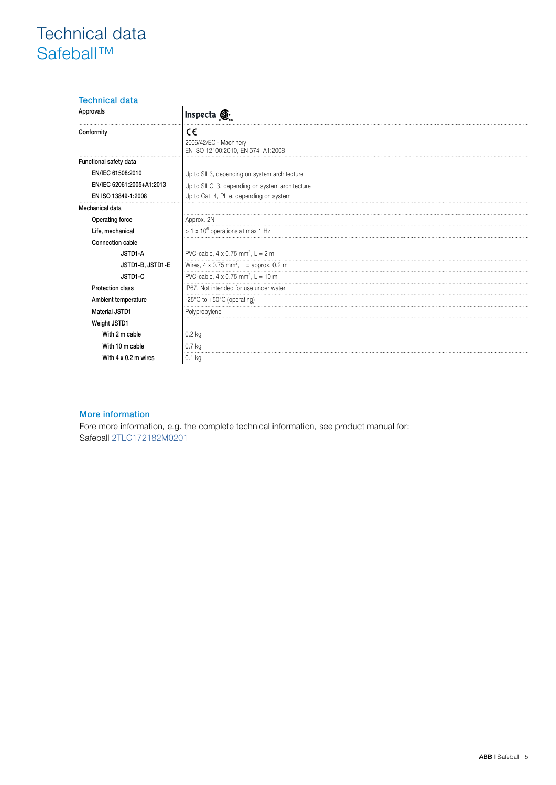# Technical data Safeball™

### Technical data

| Approvals                   | Inspecta <b>O</b>                                                 |
|-----------------------------|-------------------------------------------------------------------|
| Conformity                  | €€<br>2006/42/EC - Machinery<br>EN ISO 12100:2010, EN 574+A1:2008 |
| Functional safety data      |                                                                   |
| EN/IEC 61508:2010           | Up to SIL3, depending on system architecture                      |
| EN/IEC 62061:2005+A1:2013   | Up to SILCL3, depending on system architecture                    |
| EN ISO 13849-1:2008         | Up to Cat. 4, PL e, depending on system                           |
| Mechanical data             |                                                                   |
| Operating force             | Approx. 2N                                                        |
| Life, mechanical            | $> 1 \times 10^6$ operations at max 1 Hz                          |
| Connection cable            |                                                                   |
| JSTD1-A                     | PVC-cable, $4 \times 0.75$ mm <sup>2</sup> , L = 2 m              |
| JSTD1-B, JSTD1-E            | Wires, $4 \times 0.75$ mm <sup>2</sup> , L = approx. 0.2 m        |
| JSTD1-C                     | PVC-cable, $4 \times 0.75$ mm <sup>2</sup> , L = 10 m             |
| <b>Protection class</b>     | IP67. Not intended for use under water                            |
| Ambient temperature         | -25 $\degree$ C to +50 $\degree$ C (operating)                    |
| <b>Material JSTD1</b>       | Polypropylene                                                     |
| Weight JSTD1                |                                                                   |
| With 2 m cable              | $0.2$ kg                                                          |
| With 10 m cable             | $0.7$ kg                                                          |
| With $4 \times 0.2$ m wires | $0.1$ kg                                                          |

#### More information

Fore more information, e.g. the complete technical information, see product manual for: Safeball [2TLC172182M0201](https://library.e.abb.com/public/d2e5b6c8748a45efac44b404c1332a93/Safeball_Manual_(English)_ABB_rev-F-151204.pdf)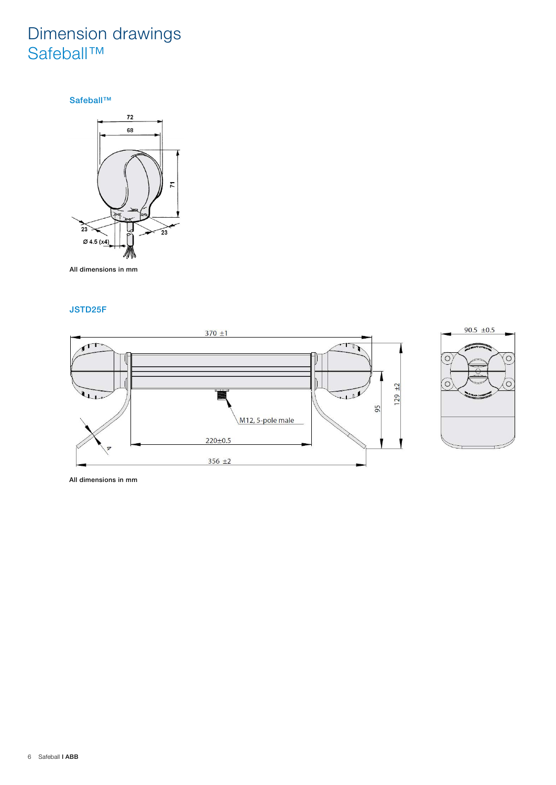# Dimension drawings Safeball™

Safeball™



All dimensions in mm

### JSTD25F



All dimensions in mm